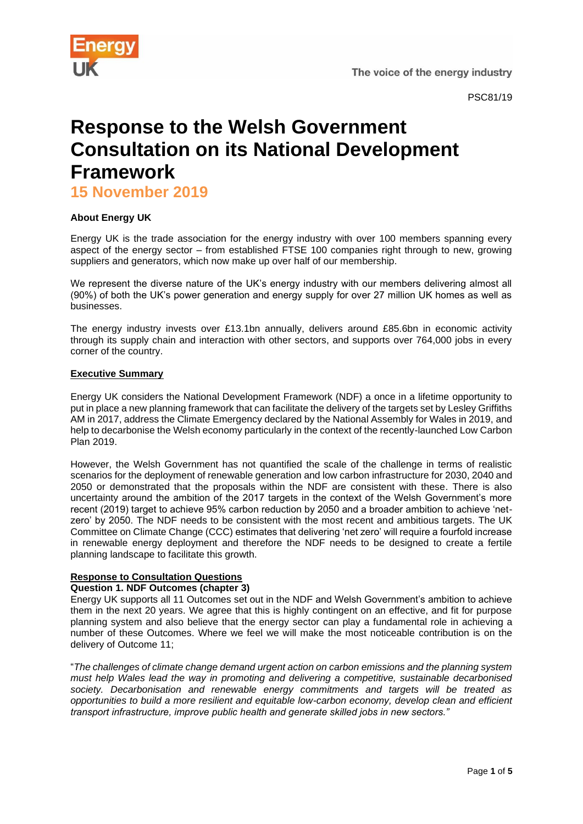The voice of the energy industry



PSC81/19

# **Response to the Welsh Government Consultation on its National Development Framework**

**15 November 2019**

# **About Energy UK**

Energy UK is the trade association for the energy industry with over 100 members spanning every aspect of the energy sector – from established FTSE 100 companies right through to new, growing suppliers and generators, which now make up over half of our membership.

We represent the diverse nature of the UK's energy industry with our members delivering almost all (90%) of both the UK's power generation and energy supply for over 27 million UK homes as well as businesses.

The energy industry invests over £13.1bn annually, delivers around £85.6bn in economic activity through its supply chain and interaction with other sectors, and supports over 764,000 jobs in every corner of the country.

## **Executive Summary**

Energy UK considers the National Development Framework (NDF) a once in a lifetime opportunity to put in place a new planning framework that can facilitate the delivery of the targets set by Lesley Griffiths AM in 2017, address the Climate Emergency declared by the National Assembly for Wales in 2019, and help to decarbonise the Welsh economy particularly in the context of the recently-launched Low Carbon Plan 2019.

However, the Welsh Government has not quantified the scale of the challenge in terms of realistic scenarios for the deployment of renewable generation and low carbon infrastructure for 2030, 2040 and 2050 or demonstrated that the proposals within the NDF are consistent with these. There is also uncertainty around the ambition of the 2017 targets in the context of the Welsh Government's more recent (2019) target to achieve 95% carbon reduction by 2050 and a broader ambition to achieve 'netzero' by 2050. The NDF needs to be consistent with the most recent and ambitious targets. The UK Committee on Climate Change (CCC) estimates that delivering 'net zero' will require a fourfold increase in renewable energy deployment and therefore the NDF needs to be designed to create a fertile planning landscape to facilitate this growth.

## **Response to Consultation Questions**

## **Question 1. NDF Outcomes (chapter 3)**

Energy UK supports all 11 Outcomes set out in the NDF and Welsh Government's ambition to achieve them in the next 20 years. We agree that this is highly contingent on an effective, and fit for purpose planning system and also believe that the energy sector can play a fundamental role in achieving a number of these Outcomes. Where we feel we will make the most noticeable contribution is on the delivery of Outcome 11;

"*The challenges of climate change demand urgent action on carbon emissions and the planning system must help Wales lead the way in promoting and delivering a competitive, sustainable decarbonised society. Decarbonisation and renewable energy commitments and targets will be treated as opportunities to build a more resilient and equitable low-carbon economy, develop clean and efficient transport infrastructure, improve public health and generate skilled jobs in new sectors."*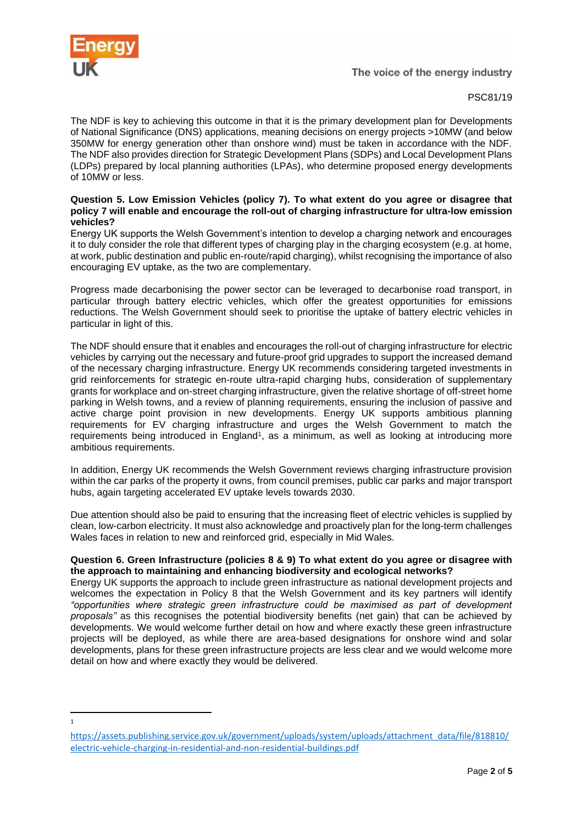

1

## PSC81/19

The NDF is key to achieving this outcome in that it is the primary development plan for Developments of National Significance (DNS) applications, meaning decisions on energy projects >10MW (and below 350MW for energy generation other than onshore wind) must be taken in accordance with the NDF. The NDF also provides direction for Strategic Development Plans (SDPs) and Local Development Plans (LDPs) prepared by local planning authorities (LPAs), who determine proposed energy developments of 10MW or less.

#### **Question 5. Low Emission Vehicles (policy 7). To what extent do you agree or disagree that policy 7 will enable and encourage the roll-out of charging infrastructure for ultra-low emission vehicles?**

Energy UK supports the Welsh Government's intention to develop a charging network and encourages it to duly consider the role that different types of charging play in the charging ecosystem (e.g. at home, at work, public destination and public en-route/rapid charging), whilst recognising the importance of also encouraging EV uptake, as the two are complementary.

Progress made decarbonising the power sector can be leveraged to decarbonise road transport, in particular through battery electric vehicles, which offer the greatest opportunities for emissions reductions. The Welsh Government should seek to prioritise the uptake of battery electric vehicles in particular in light of this.

The NDF should ensure that it enables and encourages the roll-out of charging infrastructure for electric vehicles by carrying out the necessary and future-proof grid upgrades to support the increased demand of the necessary charging infrastructure. Energy UK recommends considering targeted investments in grid reinforcements for strategic en-route ultra-rapid charging hubs, consideration of supplementary grants for workplace and on-street charging infrastructure, given the relative shortage of off-street home parking in Welsh towns, and a review of planning requirements, ensuring the inclusion of passive and active charge point provision in new developments. Energy UK supports ambitious planning requirements for EV charging infrastructure and urges the Welsh Government to match the requirements being introduced in England<sup>1</sup>, as a minimum, as well as looking at introducing more ambitious requirements.

In addition, Energy UK recommends the Welsh Government reviews charging infrastructure provision within the car parks of the property it owns, from council premises, public car parks and major transport hubs, again targeting accelerated EV uptake levels towards 2030.

Due attention should also be paid to ensuring that the increasing fleet of electric vehicles is supplied by clean, low-carbon electricity. It must also acknowledge and proactively plan for the long-term challenges Wales faces in relation to new and reinforced grid, especially in Mid Wales.

## **Question 6. Green Infrastructure (policies 8 & 9) To what extent do you agree or disagree with the approach to maintaining and enhancing biodiversity and ecological networks?**

Energy UK supports the approach to include green infrastructure as national development projects and welcomes the expectation in Policy 8 that the Welsh Government and its key partners will identify *"opportunities where strategic green infrastructure could be maximised as part of development proposals"* as this recognises the potential biodiversity benefits (net gain) that can be achieved by developments. We would welcome further detail on how and where exactly these green infrastructure projects will be deployed, as while there are area-based designations for onshore wind and solar developments, plans for these green infrastructure projects are less clear and we would welcome more detail on how and where exactly they would be delivered.

[https://assets.publishing.service.gov.uk/government/uploads/system/uploads/attachment\\_data/file/818810/](https://assets.publishing.service.gov.uk/government/uploads/system/uploads/attachment_data/file/818810/electric-vehicle-charging-in-residential-and-non-residential-buildings.pdf) [electric-vehicle-charging-in-residential-and-non-residential-buildings.pdf](https://assets.publishing.service.gov.uk/government/uploads/system/uploads/attachment_data/file/818810/electric-vehicle-charging-in-residential-and-non-residential-buildings.pdf)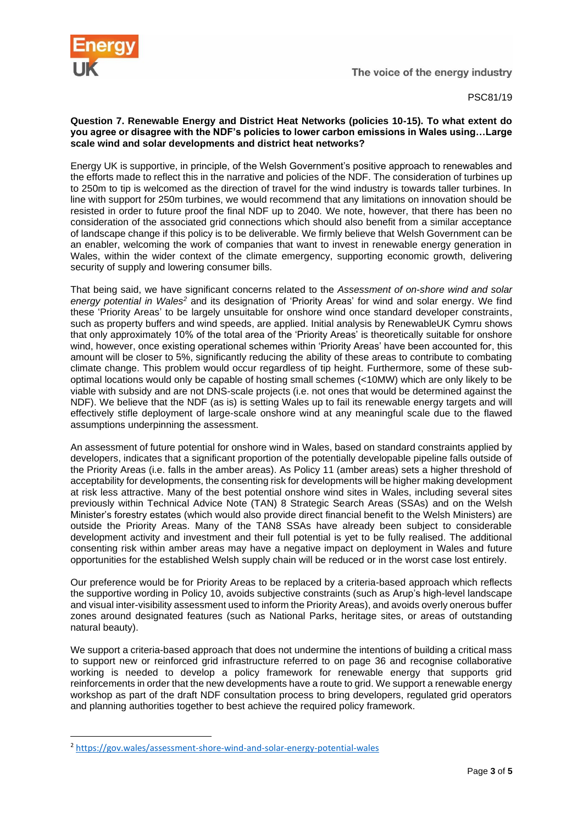

PSC81/19

## **Question 7. Renewable Energy and District Heat Networks (policies 10-15). To what extent do you agree or disagree with the NDF's policies to lower carbon emissions in Wales using…Large scale wind and solar developments and district heat networks?**

Energy UK is supportive, in principle, of the Welsh Government's positive approach to renewables and the efforts made to reflect this in the narrative and policies of the NDF. The consideration of turbines up to 250m to tip is welcomed as the direction of travel for the wind industry is towards taller turbines. In line with support for 250m turbines, we would recommend that any limitations on innovation should be resisted in order to future proof the final NDF up to 2040. We note, however, that there has been no consideration of the associated grid connections which should also benefit from a similar acceptance of landscape change if this policy is to be deliverable. We firmly believe that Welsh Government can be an enabler, welcoming the work of companies that want to invest in renewable energy generation in Wales, within the wider context of the climate emergency, supporting economic growth, delivering security of supply and lowering consumer bills.

That being said, we have significant concerns related to the *Assessment of on-shore wind and solar energy potential in Wales<sup>2</sup>* and its designation of 'Priority Areas' for wind and solar energy. We find these 'Priority Areas' to be largely unsuitable for onshore wind once standard developer constraints, such as property buffers and wind speeds, are applied. Initial analysis by RenewableUK Cymru shows that only approximately 10% of the total area of the 'Priority Areas' is theoretically suitable for onshore wind, however, once existing operational schemes within 'Priority Areas' have been accounted for, this amount will be closer to 5%, significantly reducing the ability of these areas to contribute to combating climate change. This problem would occur regardless of tip height. Furthermore, some of these suboptimal locations would only be capable of hosting small schemes (<10MW) which are only likely to be viable with subsidy and are not DNS-scale projects (i.e. not ones that would be determined against the NDF). We believe that the NDF (as is) is setting Wales up to fail its renewable energy targets and will effectively stifle deployment of large-scale onshore wind at any meaningful scale due to the flawed assumptions underpinning the assessment.

An assessment of future potential for onshore wind in Wales, based on standard constraints applied by developers, indicates that a significant proportion of the potentially developable pipeline falls outside of the Priority Areas (i.e. falls in the amber areas). As Policy 11 (amber areas) sets a higher threshold of acceptability for developments, the consenting risk for developments will be higher making development at risk less attractive. Many of the best potential onshore wind sites in Wales, including several sites previously within Technical Advice Note (TAN) 8 Strategic Search Areas (SSAs) and on the Welsh Minister's forestry estates (which would also provide direct financial benefit to the Welsh Ministers) are outside the Priority Areas. Many of the TAN8 SSAs have already been subject to considerable development activity and investment and their full potential is yet to be fully realised. The additional consenting risk within amber areas may have a negative impact on deployment in Wales and future opportunities for the established Welsh supply chain will be reduced or in the worst case lost entirely.

Our preference would be for Priority Areas to be replaced by a criteria-based approach which reflects the supportive wording in Policy 10, avoids subjective constraints (such as Arup's high-level landscape and visual inter-visibility assessment used to inform the Priority Areas), and avoids overly onerous buffer zones around designated features (such as National Parks, heritage sites, or areas of outstanding natural beauty).

We support a criteria-based approach that does not undermine the intentions of building a critical mass to support new or reinforced grid infrastructure referred to on page 36 and recognise collaborative working is needed to develop a policy framework for renewable energy that supports grid reinforcements in order that the new developments have a route to grid. We support a renewable energy workshop as part of the draft NDF consultation process to bring developers, regulated grid operators and planning authorities together to best achieve the required policy framework.

<sup>2</sup> <https://gov.wales/assessment-shore-wind-and-solar-energy-potential-wales>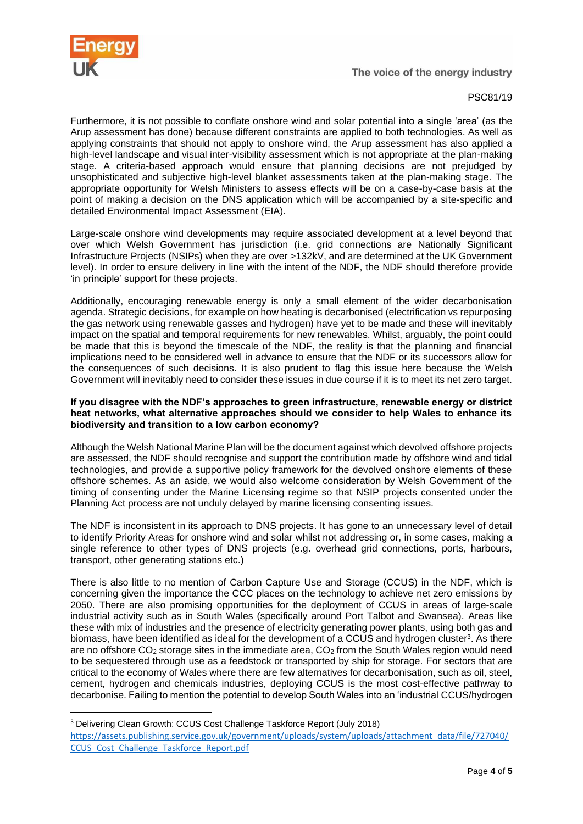

The voice of the energy industry

# PSC81/19

Furthermore, it is not possible to conflate onshore wind and solar potential into a single 'area' (as the Arup assessment has done) because different constraints are applied to both technologies. As well as applying constraints that should not apply to onshore wind, the Arup assessment has also applied a high-level landscape and visual inter-visibility assessment which is not appropriate at the plan-making stage. A criteria-based approach would ensure that planning decisions are not prejudged by unsophisticated and subjective high-level blanket assessments taken at the plan-making stage. The appropriate opportunity for Welsh Ministers to assess effects will be on a case-by-case basis at the point of making a decision on the DNS application which will be accompanied by a site-specific and detailed Environmental Impact Assessment (EIA).

Large-scale onshore wind developments may require associated development at a level beyond that over which Welsh Government has jurisdiction (i.e. grid connections are Nationally Significant Infrastructure Projects (NSIPs) when they are over >132kV, and are determined at the UK Government level). In order to ensure delivery in line with the intent of the NDF, the NDF should therefore provide 'in principle' support for these projects.

Additionally, encouraging renewable energy is only a small element of the wider decarbonisation agenda. Strategic decisions, for example on how heating is decarbonised (electrification vs repurposing the gas network using renewable gasses and hydrogen) have yet to be made and these will inevitably impact on the spatial and temporal requirements for new renewables. Whilst, arguably, the point could be made that this is beyond the timescale of the NDF, the reality is that the planning and financial implications need to be considered well in advance to ensure that the NDF or its successors allow for the consequences of such decisions. It is also prudent to flag this issue here because the Welsh Government will inevitably need to consider these issues in due course if it is to meet its net zero target.

#### **If you disagree with the NDF's approaches to green infrastructure, renewable energy or district heat networks, what alternative approaches should we consider to help Wales to enhance its biodiversity and transition to a low carbon economy?**

Although the Welsh National Marine Plan will be the document against which devolved offshore projects are assessed, the NDF should recognise and support the contribution made by offshore wind and tidal technologies, and provide a supportive policy framework for the devolved onshore elements of these offshore schemes. As an aside, we would also welcome consideration by Welsh Government of the timing of consenting under the Marine Licensing regime so that NSIP projects consented under the Planning Act process are not unduly delayed by marine licensing consenting issues.

The NDF is inconsistent in its approach to DNS projects. It has gone to an unnecessary level of detail to identify Priority Areas for onshore wind and solar whilst not addressing or, in some cases, making a single reference to other types of DNS projects (e.g. overhead grid connections, ports, harbours, transport, other generating stations etc.)

There is also little to no mention of Carbon Capture Use and Storage (CCUS) in the NDF, which is concerning given the importance the CCC places on the technology to achieve net zero emissions by 2050. There are also promising opportunities for the deployment of CCUS in areas of large-scale industrial activity such as in South Wales (specifically around Port Talbot and Swansea). Areas like these with mix of industries and the presence of electricity generating power plants, using both gas and biomass, have been identified as ideal for the development of a CCUS and hydrogen cluster<sup>3</sup>. As there are no offshore CO<sub>2</sub> storage sites in the immediate area, CO<sub>2</sub> from the South Wales region would need to be sequestered through use as a feedstock or transported by ship for storage. For sectors that are critical to the economy of Wales where there are few alternatives for decarbonisation, such as oil, steel, cement, hydrogen and chemicals industries, deploying CCUS is the most cost-effective pathway to decarbonise. Failing to mention the potential to develop South Wales into an 'industrial CCUS/hydrogen

<sup>3</sup> Delivering Clean Growth: CCUS Cost Challenge Taskforce Report (July 2018)

[https://assets.publishing.service.gov.uk/government/uploads/system/uploads/attachment\\_data/file/727040/](https://assets.publishing.service.gov.uk/government/uploads/system/uploads/attachment_data/file/727040/CCUS_Cost_Challenge_Taskforce_Report.pdf) [CCUS\\_Cost\\_Challenge\\_Taskforce\\_Report.pdf](https://assets.publishing.service.gov.uk/government/uploads/system/uploads/attachment_data/file/727040/CCUS_Cost_Challenge_Taskforce_Report.pdf)